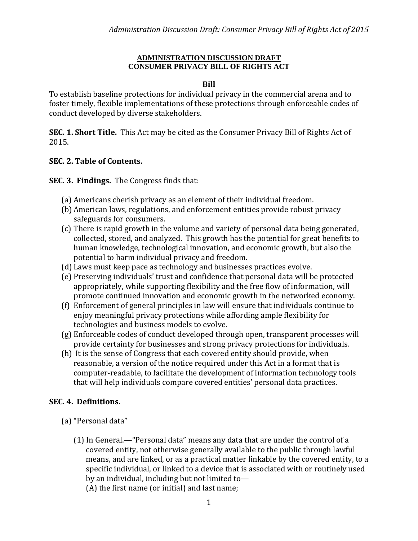#### **ADMINISTRATION DISCUSSION DRAFT CONSUMER PRIVACY BILL OF RIGHTS ACT**

### **Bill**

To establish baseline protections for individual privacy in the commercial arena and to foster timely, flexible implementations of these protections through enforceable codes of conduct developed by diverse stakeholders.

**SEC. 1. Short Title.** This Act may be cited as the Consumer Privacy Bill of Rights Act of 2015.

## **SEC. 2. Table of Contents.**

**SEC. 3. Findings.** The Congress finds that:

- (a) Americans cherish privacy as an element of their individual freedom.
- (b) American laws, regulations, and enforcement entities provide robust privacy safeguards for consumers.
- (c) There is rapid growth in the volume and variety of personal data being generated, collected, stored, and analyzed. This growth has the potential for great benefits to human knowledge, technological innovation, and economic growth, but also the potential to harm individual privacy and freedom.
- (d) Laws must keep pace as technology and businesses practices evolve.
- (e) Preserving individuals' trust and confidence that personal data will be protected appropriately, while supporting flexibility and the free flow of information, will promote continued innovation and economic growth in the networked economy.
- (f) Enforcement of general principles in law will ensure that individuals continue to enjoy meaningful privacy protections while affording ample flexibility for technologies and business models to evolve.
- (g) Enforceable codes of conduct developed through open, transparent processes will provide certainty for businesses and strong privacy protections for individuals.
- (h) It is the sense of Congress that each covered entity should provide, when reasonable, a version of the notice required under this Act in a format that is computer-readable, to facilitate the development of information technology tools that will help individuals compare covered entities' personal data practices.

# **SEC. 4. Definitions.**

- (a) "Personal data"
	- (1) In General.—"Personal data" means any data that are under the control of a covered entity, not otherwise generally available to the public through lawful means, and are linked, or as a practical matter linkable by the covered entity, to a specific individual, or linked to a device that is associated with or routinely used by an individual, including but not limited to— (A) the first name (or initial) and last name;

1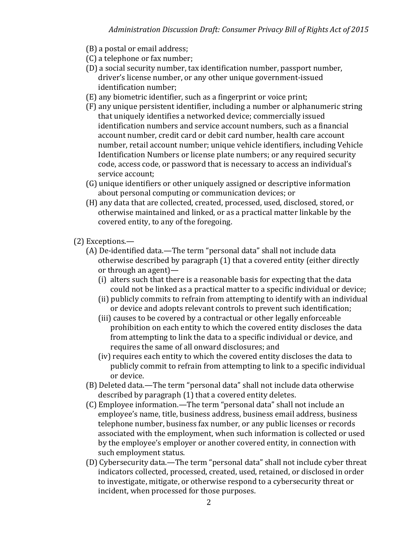- (B) a postal or email address;
- (C) a telephone or fax number;
- (D) a social security number, tax identification number, passport number, driver's license number, or any other unique government-issued identification number;
- (E) any biometric identifier, such as a fingerprint or voice print;
- (F) any unique persistent identifier, including a number or alphanumeric string that uniquely identifies a networked device; commercially issued identification numbers and service account numbers, such as a financial account number, credit card or debit card number, health care account number, retail account number; unique vehicle identifiers, including Vehicle Identification Numbers or license plate numbers; or any required security code, access code, or password that is necessary to access an individual's service account;
- (G) unique identifiers or other uniquely assigned or descriptive information about personal computing or communication devices; or
- (H) any data that are collected, created, processed, used, disclosed, stored, or otherwise maintained and linked, or as a practical matter linkable by the covered entity, to any of the foregoing.
- (2) Exceptions.—
	- (A) De-identified data.—The term "personal data" shall not include data otherwise described by paragraph (1) that a covered entity (either directly or through an agent)—
		- (i) alters such that there is a reasonable basis for expecting that the data could not be linked as a practical matter to a specific individual or device;
		- (ii) publicly commits to refrain from attempting to identify with an individual or device and adopts relevant controls to prevent such identification;
		- (iii) causes to be covered by a contractual or other legally enforceable prohibition on each entity to which the covered entity discloses the data from attempting to link the data to a specific individual or device, and requires the same of all onward disclosures; and
		- (iv) requires each entity to which the covered entity discloses the data to publicly commit to refrain from attempting to link to a specific individual or device.
	- (B) Deleted data.—The term "personal data" shall not include data otherwise described by paragraph (1) that a covered entity deletes.
	- (C) Employee information.—The term "personal data" shall not include an employee's name, title, business address, business email address, business telephone number, business fax number, or any public licenses or records associated with the employment, when such information is collected or used by the employee's employer or another covered entity, in connection with such employment status.
	- (D) Cybersecurity data.—The term "personal data" shall not include cyber threat indicators collected, processed, created, used, retained, or disclosed in order to investigate, mitigate, or otherwise respond to a cybersecurity threat or incident, when processed for those purposes.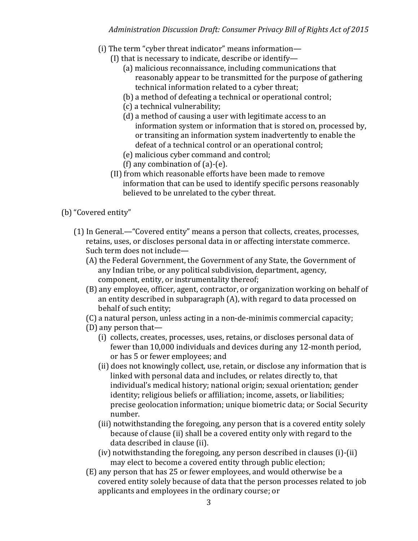- (i) The term "cyber threat indicator" means information—
	- (I) that is necessary to indicate, describe or identify—
		- (a) malicious reconnaissance, including communications that reasonably appear to be transmitted for the purpose of gathering technical information related to a cyber threat;
		- (b) a method of defeating a technical or operational control;
		- (c) a technical vulnerability;
		- (d) a method of causing a user with legitimate access to an information system or information that is stored on, processed by, or transiting an information system inadvertently to enable the defeat of a technical control or an operational control;
		- (e) malicious cyber command and control;
		- (f) any combination of (a)-(e).
	- (II) from which reasonable efforts have been made to remove information that can be used to identify specific persons reasonably believed to be unrelated to the cyber threat.
- (b)"Covered entity"
	- (1) In General.—"Covered entity" means a person that collects, creates, processes, retains, uses, or discloses personal data in or affecting interstate commerce. Such term does not include—
		- (A) the Federal Government, the Government of any State, the Government of any Indian tribe, or any political subdivision, department, agency, component, entity, or instrumentality thereof;
		- (B) any employee, officer, agent, contractor, or organization working on behalf of an entity described in subparagraph (A), with regard to data processed on behalf of such entity;
		- (C) a natural person, unless acting in a non-de-minimis commercial capacity;
		- (D) any person that—
			- (i) collects, creates, processes, uses, retains, or discloses personal data of fewer than 10,000 individuals and devices during any 12-month period, or has 5 or fewer employees; and
			- (ii) does not knowingly collect, use, retain, or disclose any information that is linked with personal data and includes, or relates directly to, that individual's medical history; national origin; sexual orientation; gender identity; religious beliefs or affiliation; income, assets, or liabilities; precise geolocation information; unique biometric data; or Social Security number.
			- (iii) notwithstanding the foregoing, any person that is a covered entity solely because of clause (ii) shall be a covered entity only with regard to the data described in clause (ii).
			- (iv) notwithstanding the foregoing, any person described in clauses (i)-(ii) may elect to become a covered entity through public election;
		- (E) any person that has 25 or fewer employees, and would otherwise be a covered entity solely because of data that the person processes related to job applicants and employees in the ordinary course; or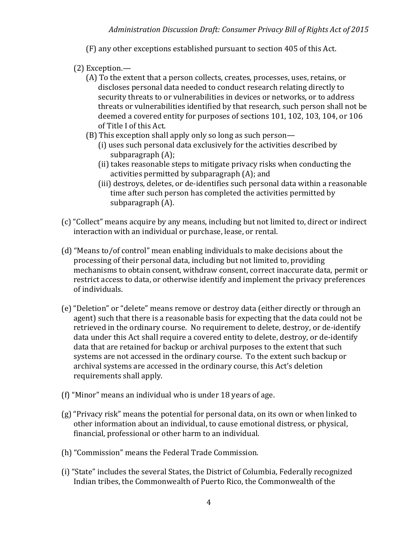(F) any other exceptions established pursuant to section 405 of this Act.

- (2) Exception.—
	- (A) To the extent that a person collects, creates, processes, uses, retains, or discloses personal data needed to conduct research relating directly to security threats to or vulnerabilities in devices or networks, or to address threats or vulnerabilities identified by that research, such person shall not be deemed a covered entity for purposes of sections 101, 102, 103, 104, or 106 of Title I of this Act.
	- (B) This exception shall apply only so long as such person—
		- (i) uses such personal data exclusively for the activities described by subparagraph (A);
		- (ii) takes reasonable steps to mitigate privacy risks when conducting the activities permitted by subparagraph (A); and
		- (iii) destroys, deletes, or de-identifies such personal data within a reasonable time after such person has completed the activities permitted by subparagraph (A).
- (c) "Collect" means acquire by any means, including but not limited to, direct or indirect interaction with an individual or purchase, lease, or rental.
- (d) "Means to/of control" mean enabling individuals to make decisions about the processing of their personal data, including but not limited to, providing mechanisms to obtain consent, withdraw consent, correct inaccurate data, permit or restrict access to data, or otherwise identify and implement the privacy preferences of individuals.
- (e) "Deletion" or "delete" means remove or destroy data (either directly or through an agent) such that there is a reasonable basis for expecting that the data could not be retrieved in the ordinary course. No requirement to delete, destroy, or de-identify data under this Act shall require a covered entity to delete, destroy, or de-identify data that are retained for backup or archival purposes to the extent that such systems are not accessed in the ordinary course. To the extent such backup or archival systems are accessed in the ordinary course, this Act's deletion requirements shall apply.
- (f) "Minor" means an individual who is under 18 years of age.
- (g) "Privacy risk" means the potential for personal data, on its own or when linked to other information about an individual, to cause emotional distress, or physical, financial, professional or other harm to an individual.
- (h) "Commission" means the Federal Trade Commission.
- (i) "State" includes the several States, the District of Columbia, Federally recognized Indian tribes, the Commonwealth of Puerto Rico, the Commonwealth of the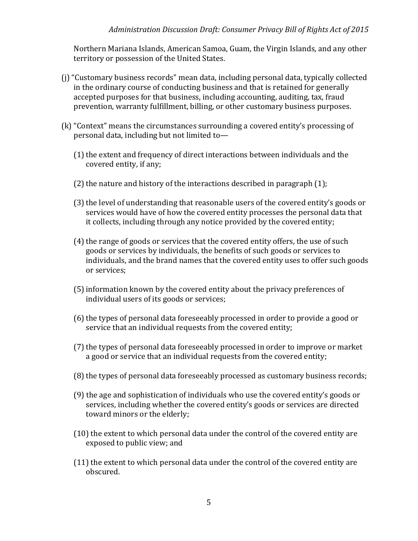Northern Mariana Islands, American Samoa, Guam, the Virgin Islands, and any other territory or possession of the United States.

- (j) "Customary business records" mean data, including personal data, typically collected in the ordinary course of conducting business and that is retained for generally accepted purposes for that business, including accounting, auditing, tax, fraud prevention, warranty fulfillment, billing, or other customary business purposes.
- (k) "Context" means the circumstances surrounding a covered entity's processing of personal data, including but not limited to—
	- $(1)$  the extent and frequency of direct interactions between individuals and the covered entity, if any;
	- (2) the nature and history of the interactions described in paragraph  $(1)$ ;
	- (3) the level of understanding that reasonable users of the covered entity's goods or services would have of how the covered entity processes the personal data that it collects, including through any notice provided by the covered entity;
	- (4) the range of goods or services that the covered entity offers, the use of such goods or services by individuals, the benefits of such goods or services to individuals, and the brand names that the covered entity uses to offer such goods or services;
	- (5)information known by the covered entity about the privacy preferences of individual users of its goods or services;
	- (6) the types of personal data foreseeably processed in order to provide a good or service that an individual requests from the covered entity;
	- (7) the types of personal data foreseeably processed in order to improve or market a good or service that an individual requests from the covered entity;
	- (8) the types of personal data foreseeably processed as customary business records;
	- (9) the age and sophistication of individuals who use the covered entity's goods or services, including whether the covered entity's goods or services are directed toward minors or the elderly;
	- (10) the extent to which personal data under the control of the covered entity are exposed to public view; and
	- (11) the extent to which personal data under the control of the covered entity are obscured.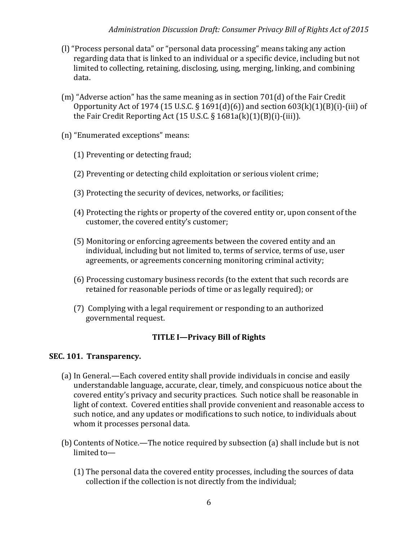- (l) "Process personal data" or "personal data processing" means taking any action regarding data that is linked to an individual or a specific device, including but not limited to collecting, retaining, disclosing, using, merging, linking, and combining data.
- (m) "Adverse action" has the same meaning as in section 701(d) of the Fair Credit Opportunity Act of 1974 (15 U.S.C. § 1691(d)(6)) and section  $603(k)(1)(B)(i)$ -(iii) of the Fair Credit Reporting Act (15 U.S.C. § 1681a(k)(1)(B)(i)-(iii)).
- (n) "Enumerated exceptions" means:
	- (1) Preventing or detecting fraud;
	- (2) Preventing or detecting child exploitation or serious violent crime;
	- (3) Protecting the security of devices, networks, or facilities;
	- (4) Protecting the rights or property of the covered entity or, upon consent of the customer, the covered entity's customer;
	- (5) Monitoring or enforcing agreements between the covered entity and an individual, including but not limited to, terms of service, terms of use, user agreements, or agreements concerning monitoring criminal activity;
	- (6) Processing customary business records (to the extent that such records are retained for reasonable periods of time or as legally required); or
	- (7) Complying with a legal requirement or responding to an authorized governmental request.

# **TITLE I—Privacy Bill of Rights**

## **SEC. 101. Transparency.**

- (a) In General.—Each covered entity shall provide individuals in concise and easily understandable language, accurate, clear, timely, and conspicuous notice about the covered entity's privacy and security practices. Such notice shall be reasonable in light of context. Covered entities shall provide convenient and reasonable access to such notice, and any updates or modifications to such notice, to individuals about whom it processes personal data.
- (b) Contents of Notice.—The notice required by subsection (a) shall include but is not limited to—
	- (1) The personal data the covered entity processes, including the sources of data collection if the collection is not directly from the individual;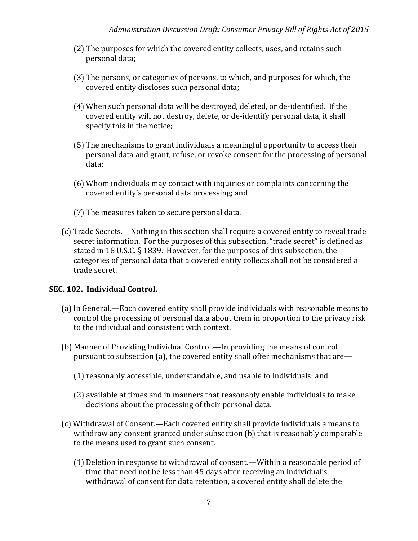- (2) The purposes for which the covered entity collects, uses, and retains such personal data;
- (3) The persons, or categories of persons, to which, and purposes for which, the covered entity discloses such personal data;
- (4) When such personal data will be destroyed, deleted, or de-identified. If the covered entity will not destroy, delete, or de-identify personal data, it shall specify this in the notice;
- (5) The mechanisms to grant individuals a meaningful opportunity to access their personal data and grant, refuse, or revoke consent for the processing of personal data;
- (6) Whom individuals may contact with inquiries or complaints concerning the covered entity's personal data processing; and
- (7) The measures taken to secure personal data.
- (c) Trade Secrets.—Nothing in this section shall require a covered entity to reveal trade secret information. For the purposes of this subsection, "trade secret" is defined as stated in 18 U.S.C. § 1839. However, for the purposes of this subsection, the categories of personal data that a covered entity collects shall not be considered a trade secret.

## **SEC. 102. Individual Control.**

- (a) In General.—Each covered entity shall provide individuals with reasonable means to control the processing of personal data about them in proportion to the privacy risk to the individual and consistent with context.
- (b) Manner of Providing Individual Control.—In providing the means of control pursuant to subsection (a), the covered entity shall offer mechanisms that are—
	- (1) reasonably accessible, understandable, and usable to individuals; and
	- (2) available at times and in manners that reasonably enable individuals to make decisions about the processing of their personal data.
- (c) Withdrawal of Consent.—Each covered entity shall provide individuals a means to withdraw any consent granted under subsection (b) that is reasonably comparable to the means used to grant such consent.
	- (1) Deletion in response to withdrawal of consent.—Within a reasonable period of time that need not be less than 45 days after receiving an individual's withdrawal of consent for data retention, a covered entity shall delete the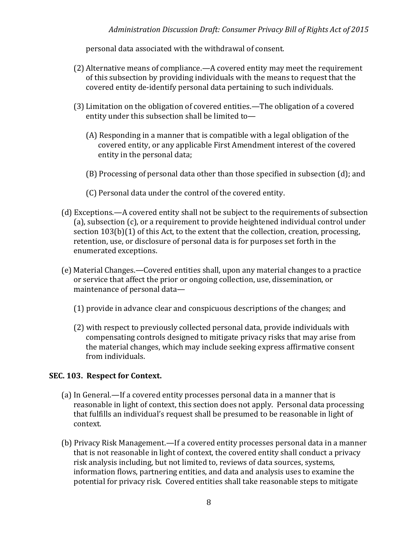personal data associated with the withdrawal of consent.

- (2) Alternative means of compliance.—A covered entity may meet the requirement of this subsection by providing individuals with the means to request that the covered entity de-identify personal data pertaining to such individuals.
- (3) Limitation on the obligation of covered entities.—The obligation of a covered entity under this subsection shall be limited to—
	- (A) Responding in a manner that is compatible with a legal obligation of the covered entity, or any applicable First Amendment interest of the covered entity in the personal data;
	- (B) Processing of personal data other than those specified in subsection (d); and
	- (C) Personal data under the control of the covered entity.
- (d) Exceptions.—A covered entity shall not be subject to the requirements of subsection (a), subsection (c), or a requirement to provide heightened individual control under section 103(b)(1) of this Act, to the extent that the collection, creation, processing, retention, use, or disclosure of personal data is for purposes set forth in the enumerated exceptions.
- (e) Material Changes.—Covered entities shall, upon any material changes to a practice or service that affect the prior or ongoing collection, use, dissemination, or maintenance of personal data—
	- (1) provide in advance clear and conspicuous descriptions of the changes; and
	- (2) with respect to previously collected personal data, provide individuals with compensating controls designed to mitigate privacy risks that may arise from the material changes, which may include seeking express affirmative consent from individuals.

## **SEC. 103. Respect for Context.**

- (a) In General.—If a covered entity processes personal data in a manner that is reasonable in light of context, this section does not apply. Personal data processing that fulfills an individual's request shall be presumed to be reasonable in light of context.
- (b) Privacy Risk Management.—If a covered entity processes personal data in a manner that is not reasonable in light of context, the covered entity shall conduct a privacy risk analysis including, but not limited to, reviews of data sources, systems, information flows, partnering entities, and data and analysis uses to examine the potential for privacy risk. Covered entities shall take reasonable steps to mitigate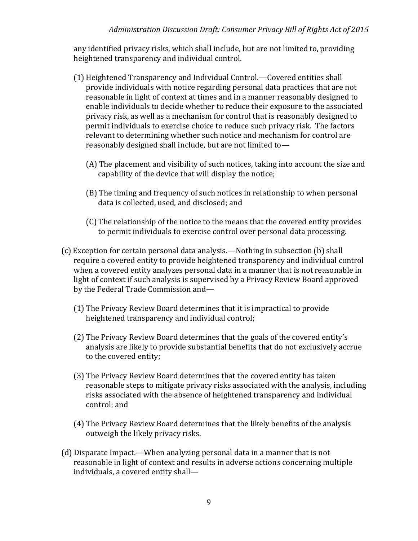any identified privacy risks, which shall include, but are not limited to, providing heightened transparency and individual control.

- (1) Heightened Transparency and Individual Control.—Covered entities shall provide individuals with notice regarding personal data practices that are not reasonable in light of context at times and in a manner reasonably designed to enable individuals to decide whether to reduce their exposure to the associated privacy risk, as well as a mechanism for control that is reasonably designed to permit individuals to exercise choice to reduce such privacy risk. The factors relevant to determining whether such notice and mechanism for control are reasonably designed shall include, but are not limited to—
	- (A) The placement and visibility of such notices, taking into account the size and capability of the device that will display the notice;
	- (B) The timing and frequency of such notices in relationship to when personal data is collected, used, and disclosed; and
	- (C) The relationship of the notice to the means that the covered entity provides to permit individuals to exercise control over personal data processing.
- (c) Exception for certain personal data analysis.—Nothing in subsection (b) shall require a covered entity to provide heightened transparency and individual control when a covered entity analyzes personal data in a manner that is not reasonable in light of context if such analysis is supervised by a Privacy Review Board approved by the Federal Trade Commission and—
	- (1) The Privacy Review Board determines that it is impractical to provide heightened transparency and individual control;
	- (2) The Privacy Review Board determines that the goals of the covered entity's analysis are likely to provide substantial benefits that do not exclusively accrue to the covered entity;
	- (3) The Privacy Review Board determines that the covered entity has taken reasonable steps to mitigate privacy risks associated with the analysis, including risks associated with the absence of heightened transparency and individual control; and
	- (4) The Privacy Review Board determines that the likely benefits of the analysis outweigh the likely privacy risks.
- (d) Disparate Impact.—When analyzing personal data in a manner that is not reasonable in light of context and results in adverse actions concerning multiple individuals, a covered entity shall—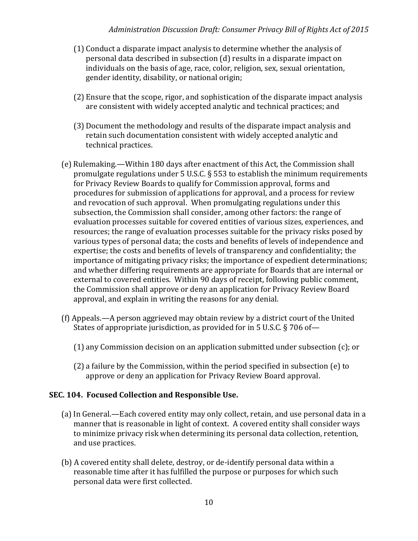- (1) Conduct a disparate impact analysis to determine whether the analysis of personal data described in subsection (d) results in a disparate impact on individuals on the basis of age, race, color, religion, sex, sexual orientation, gender identity, disability, or national origin;
- (2) Ensure that the scope, rigor, and sophistication of the disparate impact analysis are consistent with widely accepted analytic and technical practices; and
- (3) Document the methodology and results of the disparate impact analysis and retain such documentation consistent with widely accepted analytic and technical practices.
- (e) Rulemaking.—Within 180 days after enactment of this Act, the Commission shall promulgate regulations under 5 U.S.C. § 553 to establish the minimum requirements for Privacy Review Boards to qualify for Commission approval, forms and procedures for submission of applications for approval, and a process for review and revocation of such approval. When promulgating regulations under this subsection, the Commission shall consider, among other factors: the range of evaluation processes suitable for covered entities of various sizes, experiences, and resources; the range of evaluation processes suitable for the privacy risks posed by various types of personal data; the costs and benefits of levels of independence and expertise; the costs and benefits of levels of transparency and confidentiality; the importance of mitigating privacy risks; the importance of expedient determinations; and whether differing requirements are appropriate for Boards that are internal or external to covered entities. Within 90 days of receipt, following public comment, the Commission shall approve or deny an application for Privacy Review Board approval, and explain in writing the reasons for any denial.
- (f) Appeals.—A person aggrieved may obtain review by a district court of the United States of appropriate jurisdiction, as provided for in 5 U.S.C. § 706 of—
	- (1) any Commission decision on an application submitted under subsection (c); or
	- (2) a failure by the Commission, within the period specified in subsection (e) to approve or deny an application for Privacy Review Board approval.

## **SEC. 104. Focused Collection and Responsible Use.**

- (a) In General.—Each covered entity may only collect, retain, and use personal data in a manner that is reasonable in light of context. A covered entity shall consider ways to minimize privacy risk when determining its personal data collection, retention, and use practices.
- (b) A covered entity shall delete, destroy, or de-identify personal data within a reasonable time after it has fulfilled the purpose or purposes for which such personal data were first collected.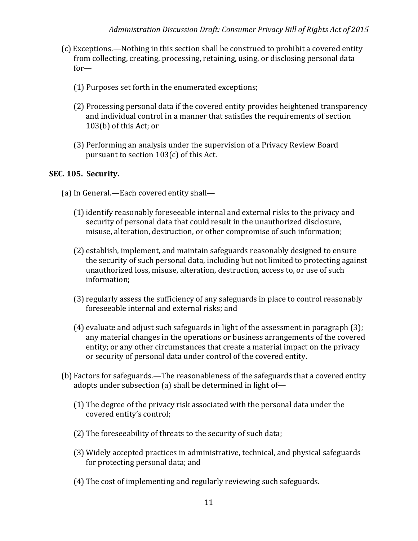- (c) Exceptions.—Nothing in this section shall be construed to prohibit a covered entity from collecting, creating, processing, retaining, using, or disclosing personal data for—
	- (1) Purposes set forth in the enumerated exceptions;
	- (2) Processing personal data if the covered entity provides heightened transparency and individual control in a manner that satisfies the requirements of section 103(b) of this Act; or
	- (3) Performing an analysis under the supervision of a Privacy Review Board pursuant to section 103(c) of this Act.

### **SEC. 105. Security.**

- (a) In General.—Each covered entity shall—
	- (1)identify reasonably foreseeable internal and external risks to the privacy and security of personal data that could result in the unauthorized disclosure, misuse, alteration, destruction, or other compromise of such information;
	- (2) establish, implement, and maintain safeguards reasonably designed to ensure the security of such personal data, including but not limited to protecting against unauthorized loss, misuse, alteration, destruction, access to, or use of such information;
	- (3) regularly assess the sufficiency of any safeguards in place to control reasonably foreseeable internal and external risks; and
	- (4) evaluate and adjust such safeguards in light of the assessment in paragraph (3); any material changes in the operations or business arrangements of the covered entity; or any other circumstances that create a material impact on the privacy or security of personal data under control of the covered entity.
- (b) Factors for safeguards.—The reasonableness of the safeguards that a covered entity adopts under subsection (a) shall be determined in light of—
	- (1) The degree of the privacy risk associated with the personal data under the covered entity's control;
	- (2) The foreseeability of threats to the security of such data;
	- (3) Widely accepted practices in administrative, technical, and physical safeguards for protecting personal data; and
	- (4) The cost of implementing and regularly reviewing such safeguards.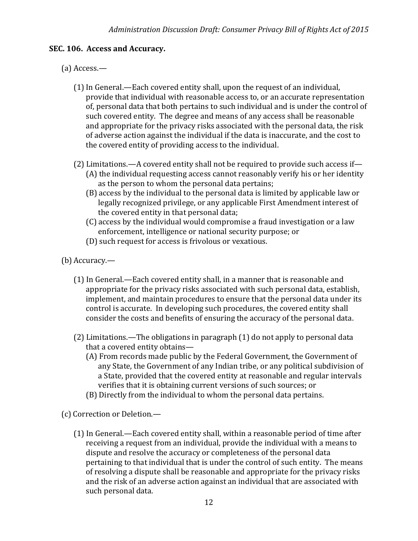## **SEC. 106. Access and Accuracy.**

## (a) Access.—

- (1)In General.—Each covered entity shall, upon the request of an individual, provide that individual with reasonable access to, or an accurate representation of, personal data that both pertains to such individual and is under the control of such covered entity. The degree and means of any access shall be reasonable and appropriate for the privacy risks associated with the personal data, the risk of adverse action against the individual if the data is inaccurate, and the cost to the covered entity of providing access to the individual.
- (2) Limitations.—A covered entity shall not be required to provide such access if— (A) the individual requesting access cannot reasonably verify his or her identity as the person to whom the personal data pertains;
	- (B) access by the individual to the personal data is limited by applicable law or legally recognized privilege, or any applicable First Amendment interest of the covered entity in that personal data;
	- (C) access by the individual would compromise a fraud investigation or a law enforcement, intelligence or national security purpose; or
	- (D) such request for access is frivolous or vexatious.
- (b) Accuracy.—
	- (1) In General.—Each covered entity shall, in a manner that is reasonable and appropriate for the privacy risks associated with such personal data, establish, implement, and maintain procedures to ensure that the personal data under its control is accurate. In developing such procedures, the covered entity shall consider the costs and benefits of ensuring the accuracy of the personal data.
	- (2) Limitations.—The obligations in paragraph (1) do not apply to personal data that a covered entity obtains—
		- (A) From records made public by the Federal Government, the Government of any State, the Government of any Indian tribe, or any political subdivision of a State, provided that the covered entity at reasonable and regular intervals verifies that it is obtaining current versions of such sources; or
		- (B) Directly from the individual to whom the personal data pertains.
- (c) Correction or Deletion.—
	- (1) In General.—Each covered entity shall, within a reasonable period of time after receiving a request from an individual, provide the individual with a means to dispute and resolve the accuracy or completeness of the personal data pertaining to that individual that is under the control of such entity. The means of resolving a dispute shall be reasonable and appropriate for the privacy risks and the risk of an adverse action against an individual that are associated with such personal data.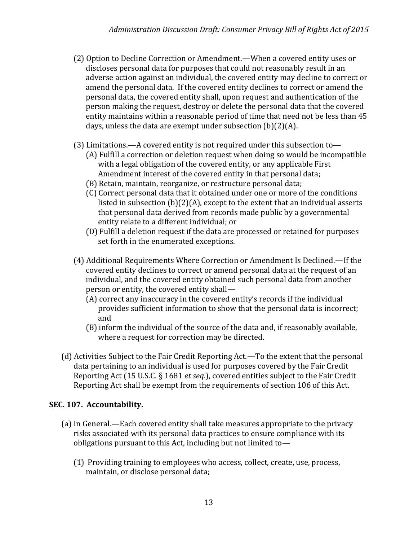- (2) Option to Decline Correction or Amendment.—When a covered entity uses or discloses personal data for purposes that could not reasonably result in an adverse action against an individual, the covered entity may decline to correct or amend the personal data. If the covered entity declines to correct or amend the personal data, the covered entity shall, upon request and authentication of the person making the request, destroy or delete the personal data that the covered entity maintains within a reasonable period of time that need not be less than 45 days, unless the data are exempt under subsection (b)(2)(A).
- (3) Limitations.—A covered entity is not required under this subsection to—
	- (A) Fulfill a correction or deletion request when doing so would be incompatible with a legal obligation of the covered entity, or any applicable First Amendment interest of the covered entity in that personal data;
	- (B) Retain, maintain, reorganize, or restructure personal data;
	- (C) Correct personal data that it obtained under one or more of the conditions listed in subsection (b)(2)(A), except to the extent that an individual asserts that personal data derived from records made public by a governmental entity relate to a different individual; or
	- (D) Fulfill a deletion request if the data are processed or retained for purposes set forth in the enumerated exceptions.
- (4) Additional Requirements Where Correction or Amendment Is Declined.—If the covered entity declines to correct or amend personal data at the request of an individual, and the covered entity obtained such personal data from another person or entity, the covered entity shall—
	- (A) correct any inaccuracy in the covered entity's records if the individual provides sufficient information to show that the personal data is incorrect; and
	- (B) inform the individual of the source of the data and, if reasonably available, where a request for correction may be directed.
- (d) Activities Subject to the Fair Credit Reporting Act.—To the extent that the personal data pertaining to an individual is used for purposes covered by the Fair Credit Reporting Act (15 U.S.C. § 1681 *et seq.*), covered entities subject to the Fair Credit Reporting Act shall be exempt from the requirements of section 106 of this Act.

## **SEC. 107. Accountability.**

- (a) In General.—Each covered entity shall take measures appropriate to the privacy risks associated with its personal data practices to ensure compliance with its obligations pursuant to this Act, including but not limited to—
	- (1) Providing training to employees who access, collect, create, use, process, maintain, or disclose personal data;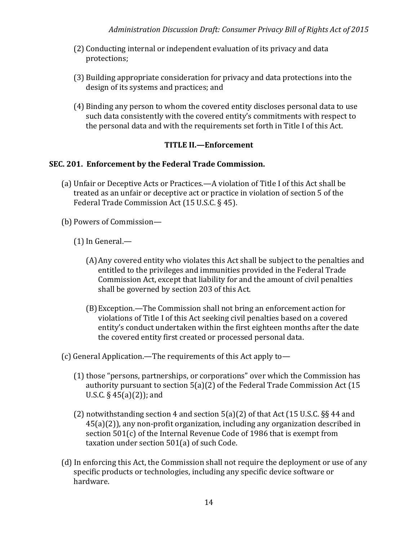- (2) Conducting internal or independent evaluation of its privacy and data protections;
- (3) Building appropriate consideration for privacy and data protections into the design of its systems and practices; and
- (4) Binding any person to whom the covered entity discloses personal data to use such data consistently with the covered entity's commitments with respect to the personal data and with the requirements set forth in Title I of this Act.

## **TITLE II.—Enforcement**

#### **SEC. 201. Enforcement by the Federal Trade Commission.**

- (a) Unfair or Deceptive Acts or Practices.—A violation of Title I of this Act shall be treated as an unfair or deceptive act or practice in violation of section 5 of the Federal Trade Commission Act (15 U.S.C. § 45).
- (b) Powers of Commission—
	- $(1)$  In General.—
		- (A)Any covered entity who violates this Act shall be subject to the penalties and entitled to the privileges and immunities provided in the Federal Trade Commission Act, except that liability for and the amount of civil penalties shall be governed by section 203 of this Act.
		- (B)Exception.—The Commission shall not bring an enforcement action for violations of Title I of this Act seeking civil penalties based on a covered entity's conduct undertaken within the first eighteen months after the date the covered entity first created or processed personal data.
- (c) General Application.—The requirements of this Act apply to—
	- (1) those "persons, partnerships, or corporations" over which the Commission has authority pursuant to section 5(a)(2) of the Federal Trade Commission Act (15 U.S.C.  $\S$  45(a)(2)); and
	- (2) notwithstanding section 4 and section  $5(a)(2)$  of that Act (15 U.S.C. §§ 44 and 45(a)(2)), any non-profit organization, including any organization described in section 501(c) of the Internal Revenue Code of 1986 that is exempt from taxation under section 501(a) of such Code.
- (d) In enforcing this Act, the Commission shall not require the deployment or use of any specific products or technologies, including any specific device software or hardware.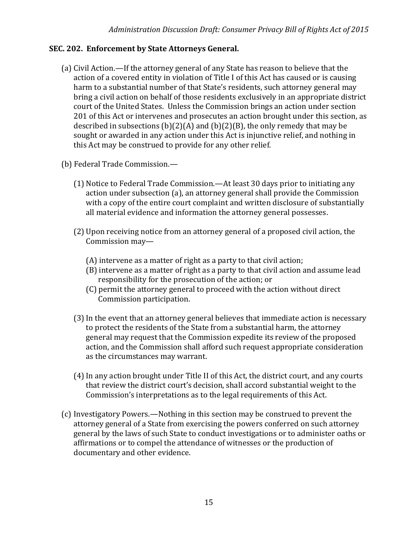## **SEC. 202. Enforcement by State Attorneys General.**

- (a) Civil Action.—If the attorney general of any State has reason to believe that the action of a covered entity in violation of Title I of this Act has caused or is causing harm to a substantial number of that State's residents, such attorney general may bring a civil action on behalf of those residents exclusively in an appropriate district court of the United States. Unless the Commission brings an action under section 201 of this Act or intervenes and prosecutes an action brought under this section, as described in subsections  $(b)(2)(A)$  and  $(b)(2)(B)$ , the only remedy that may be sought or awarded in any action under this Act is injunctive relief, and nothing in this Act may be construed to provide for any other relief.
- (b) Federal Trade Commission.—
	- (1) Notice to Federal Trade Commission.—At least 30 days prior to initiating any action under subsection (a), an attorney general shall provide the Commission with a copy of the entire court complaint and written disclosure of substantially all material evidence and information the attorney general possesses.
	- (2) Upon receiving notice from an attorney general of a proposed civil action, the Commission may—
		- (A) intervene as a matter of right as a party to that civil action;
		- (B) intervene as a matter of right as a party to that civil action and assume lead responsibility for the prosecution of the action; or
		- (C) permit the attorney general to proceed with the action without direct Commission participation.
	- (3)In the event that an attorney general believes that immediate action is necessary to protect the residents of the State from a substantial harm, the attorney general may request that the Commission expedite its review of the proposed action, and the Commission shall afford such request appropriate consideration as the circumstances may warrant.
	- (4)In any action brought under Title II of this Act, the district court, and any courts that review the district court's decision, shall accord substantial weight to the Commission's interpretations as to the legal requirements of this Act.
- (c) Investigatory Powers.—Nothing in this section may be construed to prevent the attorney general of a State from exercising the powers conferred on such attorney general by the laws of such State to conduct investigations or to administer oaths or affirmations or to compel the attendance of witnesses or the production of documentary and other evidence.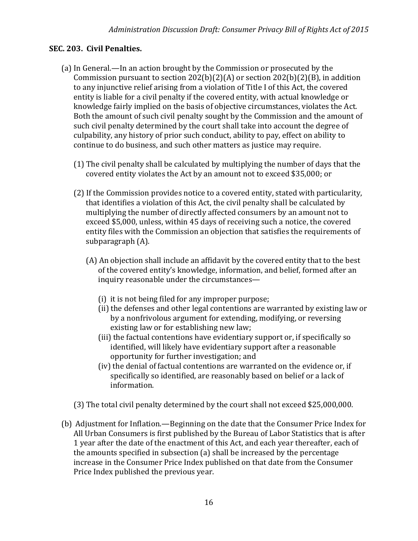## **SEC. 203. Civil Penalties.**

- (a) In General.—In an action brought by the Commission or prosecuted by the Commission pursuant to section  $202(b)(2)(A)$  or section  $202(b)(2)(B)$ , in addition to any injunctive relief arising from a violation of Title I of this Act, the covered entity is liable for a civil penalty if the covered entity, with actual knowledge or knowledge fairly implied on the basis of objective circumstances, violates the Act. Both the amount of such civil penalty sought by the Commission and the amount of such civil penalty determined by the court shall take into account the degree of culpability, any history of prior such conduct, ability to pay, effect on ability to continue to do business, and such other matters as justice may require.
	- (1) The civil penalty shall be calculated by multiplying the number of days that the covered entity violates the Act by an amount not to exceed \$35,000; or
	- (2) If the Commission provides notice to a covered entity, stated with particularity, that identifies a violation of this Act, the civil penalty shall be calculated by multiplying the number of directly affected consumers by an amount not to exceed \$5,000, unless, within 45 days of receiving such a notice, the covered entity files with the Commission an objection that satisfies the requirements of subparagraph (A).
		- (A) An objection shall include an affidavit by the covered entity that to the best of the covered entity's knowledge, information, and belief, formed after an inquiry reasonable under the circumstances—
			- (i) it is not being filed for any improper purpose;
			- (ii) the defenses and other legal contentions are warranted by existing law or by a nonfrivolous argument for extending, modifying, or reversing existing law or for establishing new law;
			- (iii) the factual contentions have evidentiary support or, if specifically so identified, will likely have evidentiary support after a reasonable opportunity for further investigation; and
			- (iv) the denial of factual contentions are warranted on the evidence or, if specifically so identified, are reasonably based on belief or a lack of information.
	- (3) The total civil penalty determined by the court shall not exceed \$25,000,000.
- (b) Adjustment for Inflation.—Beginning on the date that the Consumer Price Index for All Urban Consumers is first published by the Bureau of Labor Statistics that is after 1 year after the date of the enactment of this Act, and each year thereafter, each of the amounts specified in subsection (a) shall be increased by the percentage increase in the Consumer Price Index published on that date from the Consumer Price Index published the previous year.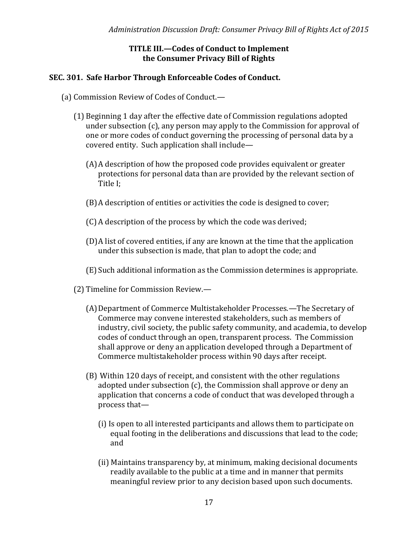### **TITLE III.—Codes of Conduct to Implement the Consumer Privacy Bill of Rights**

#### **SEC. 301. Safe Harbor Through Enforceable Codes of Conduct.**

- (a) Commission Review of Codes of Conduct.—
	- (1) Beginning 1 day after the effective date of Commission regulations adopted under subsection (c), any person may apply to the Commission for approval of one or more codes of conduct governing the processing of personal data by a covered entity. Such application shall include—
		- (A)A description of how the proposed code provides equivalent or greater protections for personal data than are provided by the relevant section of Title I;
		- (B)A description of entities or activities the code is designed to cover;
		- (C) A description of the process by which the code was derived;
		- (D)A list of covered entities, if any are known at the time that the application under this subsection is made, that plan to adopt the code; and
		- (E)Such additional information as the Commission determines is appropriate.
	- (2) Timeline for Commission Review.—
		- (A)Department of Commerce Multistakeholder Processes.—The Secretary of Commerce may convene interested stakeholders, such as members of industry, civil society, the public safety community, and academia, to develop codes of conduct through an open, transparent process. The Commission shall approve or deny an application developed through a Department of Commerce multistakeholder process within 90 days after receipt.
		- (B) Within 120 days of receipt, and consistent with the other regulations adopted under subsection (c), the Commission shall approve or deny an application that concerns a code of conduct that was developed through a process that—
			- (i) Is open to all interested participants and allows them to participate on equal footing in the deliberations and discussions that lead to the code; and
			- (ii) Maintains transparency by, at minimum, making decisional documents readily available to the public at a time and in manner that permits meaningful review prior to any decision based upon such documents.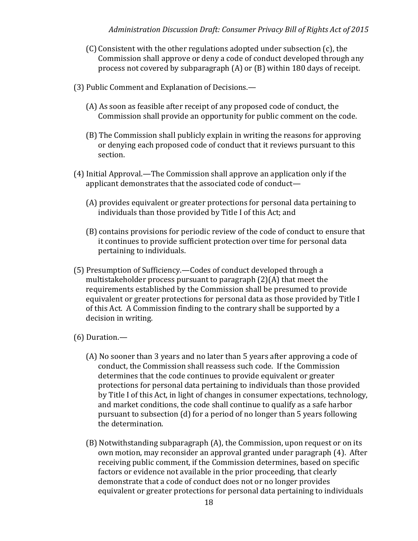- (C) Consistent with the other regulations adopted under subsection (c), the Commission shall approve or deny a code of conduct developed through any process not covered by subparagraph (A) or (B) within 180 days of receipt.
- (3) Public Comment and Explanation of Decisions.—
	- (A) As soon as feasible after receipt of any proposed code of conduct, the Commission shall provide an opportunity for public comment on the code.
	- (B) The Commission shall publicly explain in writing the reasons for approving or denying each proposed code of conduct that it reviews pursuant to this section.
- (4) Initial Approval.—The Commission shall approve an application only if the applicant demonstrates that the associated code of conduct—
	- (A) provides equivalent or greater protections for personal data pertaining to individuals than those provided by Title I of this Act; and
	- (B) contains provisions for periodic review of the code of conduct to ensure that it continues to provide sufficient protection over time for personal data pertaining to individuals.
- (5) Presumption of Sufficiency.—Codes of conduct developed through a multistakeholder process pursuant to paragraph (2)(A) that meet the requirements established by the Commission shall be presumed to provide equivalent or greater protections for personal data as those provided by Title I of this Act. A Commission finding to the contrary shall be supported by a decision in writing.
- (6) Duration.—
	- (A) No sooner than 3 years and no later than 5 years after approving a code of conduct, the Commission shall reassess such code. If the Commission determines that the code continues to provide equivalent or greater protections for personal data pertaining to individuals than those provided by Title I of this Act, in light of changes in consumer expectations, technology, and market conditions, the code shall continue to qualify as a safe harbor pursuant to subsection (d) for a period of no longer than 5 years following the determination.
	- (B) Notwithstanding subparagraph (A), the Commission, upon request or on its own motion, may reconsider an approval granted under paragraph (4). After receiving public comment, if the Commission determines, based on specific factors or evidence not available in the prior proceeding, that clearly demonstrate that a code of conduct does not or no longer provides equivalent or greater protections for personal data pertaining to individuals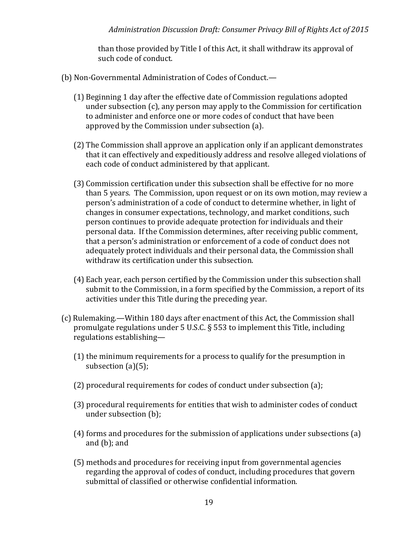than those provided by Title I of this Act, it shall withdraw its approval of such code of conduct.

- (b) Non-Governmental Administration of Codes of Conduct.—
	- (1) Beginning 1 day after the effective date of Commission regulations adopted under subsection (c), any person may apply to the Commission for certification to administer and enforce one or more codes of conduct that have been approved by the Commission under subsection (a).
	- (2) The Commission shall approve an application only if an applicant demonstrates that it can effectively and expeditiously address and resolve alleged violations of each code of conduct administered by that applicant.
	- (3) Commission certification under this subsection shall be effective for no more than 5 years. The Commission, upon request or on its own motion, may review a person's administration of a code of conduct to determine whether, in light of changes in consumer expectations, technology, and market conditions, such person continues to provide adequate protection for individuals and their personal data. If the Commission determines, after receiving public comment, that a person's administration or enforcement of a code of conduct does not adequately protect individuals and their personal data, the Commission shall withdraw its certification under this subsection.
	- (4) Each year, each person certified by the Commission under this subsection shall submit to the Commission, in a form specified by the Commission, a report of its activities under this Title during the preceding year.
- (c) Rulemaking.—Within 180 days after enactment of this Act, the Commission shall promulgate regulations under 5 U.S.C. § 553 to implement this Title, including regulations establishing—
	- (1) the minimum requirements for a process to qualify for the presumption in subsection (a)(5);
	- (2) procedural requirements for codes of conduct under subsection (a);
	- (3) procedural requirements for entities that wish to administer codes of conduct under subsection (b);
	- (4) forms and procedures for the submission of applications under subsections (a) and (b); and
	- (5) methods and procedures for receiving input from governmental agencies regarding the approval of codes of conduct, including procedures that govern submittal of classified or otherwise confidential information.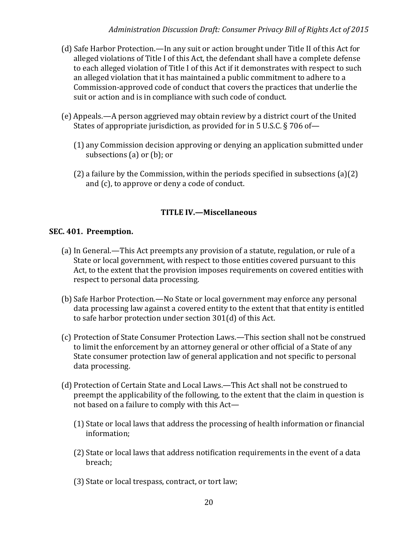- (d) Safe Harbor Protection.—In any suit or action brought under Title II of this Act for alleged violations of Title I of this Act, the defendant shall have a complete defense to each alleged violation of Title I of this Act if it demonstrates with respect to such an alleged violation that it has maintained a public commitment to adhere to a Commission-approved code of conduct that covers the practices that underlie the suit or action and is in compliance with such code of conduct.
- (e) Appeals.—A person aggrieved may obtain review by a district court of the United States of appropriate jurisdiction, as provided for in 5 U.S.C. § 706 of—
	- (1) any Commission decision approving or denying an application submitted under subsections (a) or (b); or
	- (2) a failure by the Commission, within the periods specified in subsections (a)(2) and (c), to approve or deny a code of conduct.

# **TITLE IV.—Miscellaneous**

## **SEC. 401. Preemption.**

- (a) In General.—This Act preempts any provision of a statute, regulation, or rule of a State or local government, with respect to those entities covered pursuant to this Act, to the extent that the provision imposes requirements on covered entities with respect to personal data processing.
- (b) Safe Harbor Protection.—No State or local government may enforce any personal data processing law against a covered entity to the extent that that entity is entitled to safe harbor protection under section 301(d) of this Act.
- (c) Protection of State Consumer Protection Laws.—This section shall not be construed to limit the enforcement by an attorney general or other official of a State of any State consumer protection law of general application and not specific to personal data processing.
- (d) Protection of Certain State and Local Laws.—This Act shall not be construed to preempt the applicability of the following, to the extent that the claim in question is not based on a failure to comply with this Act—
	- (1) State or local laws that address the processing of health information or financial information;
	- (2) State or local laws that address notification requirements in the event of a data breach;
	- (3) State or local trespass, contract, or tort law;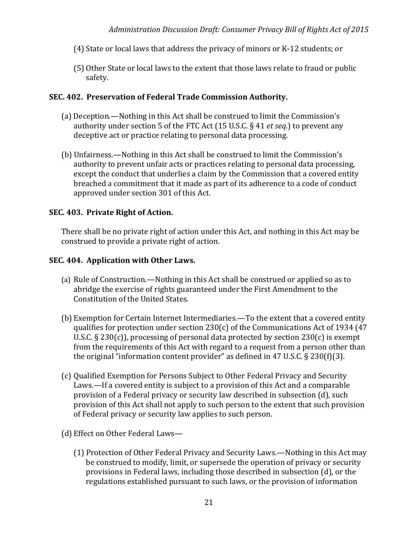- (4) State or local laws that address the privacy of minors or K-12 students; or
- (5) Other State or local laws to the extent that those laws relate to fraud or public safety.

### **SEC. 402. Preservation of Federal Trade Commission Authority.**

- (a) Deception.—Nothing in this Act shall be construed to limit the Commission's authority under section 5 of the FTC Act (15 U.S.C. § 41 *et seq.*) to prevent any deceptive act or practice relating to personal data processing.
- (b) Unfairness.—Nothing in this Act shall be construed to limit the Commission's authority to prevent unfair acts or practices relating to personal data processing, except the conduct that underlies a claim by the Commission that a covered entity breached a commitment that it made as part of its adherence to a code of conduct approved under section 301 of this Act.

### **SEC. 403. Private Right of Action.**

There shall be no private right of action under this Act, and nothing in this Act may be construed to provide a private right of action.

### **SEC. 404. Application with Other Laws.**

- (a) Rule of Construction.—Nothing in this Act shall be construed or applied so as to abridge the exercise of rights guaranteed under the First Amendment to the Constitution of the United States.
- (b) Exemption for Certain Internet Intermediaries.—To the extent that a covered entity qualifies for protection under section 230(c) of the Communications Act of 1934 (47 U.S.C. § 230(c)), processing of personal data protected by section 230(c) is exempt from the requirements of this Act with regard to a request from a person other than the original "information content provider" as defined in 47 U.S.C. § 230(f)(3).
- (c) Qualified Exemption for Persons Subject to Other Federal Privacy and Security Laws.—If a covered entity is subject to a provision of this Act and a comparable provision of a Federal privacy or security law described in subsection (d), such provision of this Act shall not apply to such person to the extent that such provision of Federal privacy or security law applies to such person.
- (d) Effect on Other Federal Laws—
	- (1) Protection of Other Federal Privacy and Security Laws.—Nothing in this Act may be construed to modify, limit, or supersede the operation of privacy or security provisions in Federal laws, including those described in subsection (d), or the regulations established pursuant to such laws, or the provision of information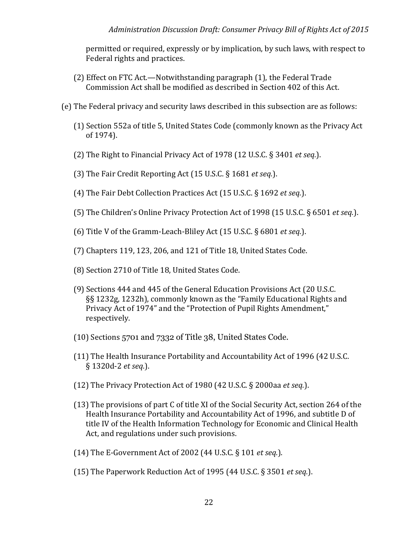permitted or required, expressly or by implication, by such laws, with respect to Federal rights and practices.

- (2) Effect on FTC Act.—Notwithstanding paragraph (1), the Federal Trade Commission Act shall be modified as described in Section 402 of this Act.
- (e) The Federal privacy and security laws described in this subsection are as follows:
	- (1) Section 552a of title 5, United States Code (commonly known as the Privacy Act of 1974).
	- (2) The Right to Financial Privacy Act of 1978 (12 U.S.C. § 3401 *et seq.*).
	- (3) The Fair Credit Reporting Act (15 U.S.C. § 1681 *et seq.*).
	- (4) The Fair Debt Collection Practices Act (15 U.S.C. § 1692 *et seq.*).
	- (5) The Children's Online Privacy Protection Act of 1998 (15 U.S.C. § 6501 *et seq.*).
	- (6) Title V of the Gramm-Leach-Bliley Act (15 U.S.C. § 6801 *et seq.*).
	- (7) Chapters 119, 123, 206, and 121 of Title 18, United States Code.
	- (8) Section 2710 of Title 18, United States Code.
	- (9) Sections 444 and 445 of the General Education Provisions Act (20 U.S.C. §§ 1232g, 1232h), commonly known as the "Family Educational Rights and Privacy Act of 1974" and the "Protection of Pupil Rights Amendment," respectively.
	- (10) Sections 5701 and 7332 of Title 38, United States Code.
	- (11) The Health Insurance Portability and Accountability Act of 1996 (42 U.S.C. § 1320d-2 *et seq.*).
	- (12) The Privacy Protection Act of 1980 (42 U.S.C. § 2000aa *et seq.*).
	- (13) The provisions of part C of title XI of the Social Security Act, section 264 of the Health Insurance Portability and Accountability Act of 1996, and subtitle D of title IV of the Health Information Technology for Economic and Clinical Health Act, and regulations under such provisions.
	- (14) The E-Government Act of 2002 (44 U.S.C. § 101 *et seq.*).
	- (15) The Paperwork Reduction Act of 1995 (44 U.S.C. § 3501 *et seq.*).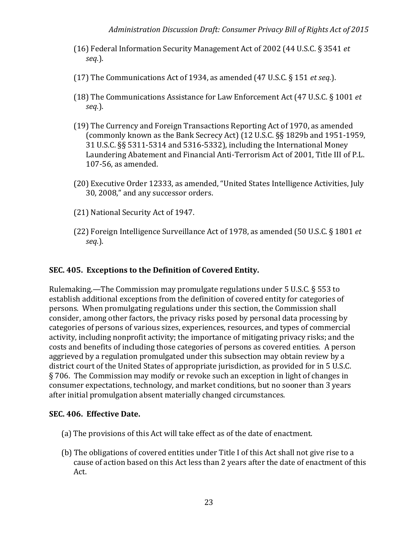- (16) Federal Information Security Management Act of 2002 (44 U.S.C. § 3541 *et seq.*).
- (17) The Communications Act of 1934, as amended (47 U.S.C. § 151 *et seq.*).
- (18) The Communications Assistance for Law Enforcement Act (47 U.S.C. § 1001 *et seq.*).
- (19) The Currency and Foreign Transactions Reporting Act of 1970, as amended (commonly known as the Bank Secrecy Act) (12 U.S.C. §§ 1829b and 1951-1959, 31 U.S.C. §§ 5311-5314 and 5316-5332), including the International Money Laundering Abatement and Financial Anti-Terrorism Act of 2001, Title III of P.L. 107-56, as amended.
- (20) Executive Order 12333, as amended, "United States Intelligence Activities, July 30, 2008," and any successor orders.
- (21) National Security Act of 1947.
- (22) Foreign Intelligence Surveillance Act of 1978, as amended (50 U.S.C. § 1801 *et seq.*).

# **SEC. 405. Exceptions to the Definition of Covered Entity.**

Rulemaking.—The Commission may promulgate regulations under 5 U.S.C. § 553 to establish additional exceptions from the definition of covered entity for categories of persons. When promulgating regulations under this section, the Commission shall consider, among other factors, the privacy risks posed by personal data processing by categories of persons of various sizes, experiences, resources, and types of commercial activity, including nonprofit activity; the importance of mitigating privacy risks; and the costs and benefits of including those categories of persons as covered entities. A person aggrieved by a regulation promulgated under this subsection may obtain review by a district court of the United States of appropriate jurisdiction, as provided for in 5 U.S.C. § 706. The Commission may modify or revoke such an exception in light of changes in consumer expectations, technology, and market conditions, but no sooner than 3 years after initial promulgation absent materially changed circumstances.

# **SEC. 406. Effective Date.**

- (a) The provisions of this Act will take effect as of the date of enactment.
- (b) The obligations of covered entities under Title I of this Act shall not give rise to a cause of action based on this Act less than 2 years after the date of enactment of this Act.